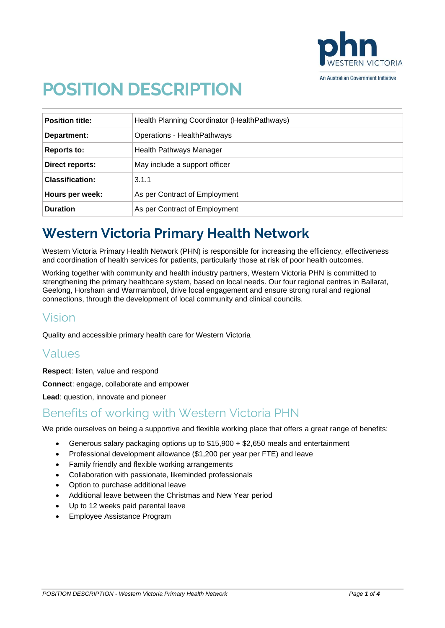

# **POSITION DESCRIPTION**

| <b>Position title:</b> | Health Planning Coordinator (HealthPathways) |
|------------------------|----------------------------------------------|
| Department:            | Operations - HealthPathways                  |
| Reports to:            | Health Pathways Manager                      |
| Direct reports:        | May include a support officer                |
| <b>Classification:</b> | 3.1.1                                        |
| Hours per week:        | As per Contract of Employment                |
| <b>Duration</b>        | As per Contract of Employment                |

# **Western Victoria Primary Health Network**

Western Victoria Primary Health Network (PHN) is responsible for increasing the efficiency, effectiveness and coordination of health services for patients, particularly those at risk of poor health outcomes.

Working together with community and health industry partners, Western Victoria PHN is committed to strengthening the primary healthcare system, based on local needs. Our four regional centres in Ballarat, Geelong, Horsham and Warrnambool, drive local engagement and ensure strong rural and regional connections, through the development of local community and clinical councils.

### Vision

Quality and accessible primary health care for Western Victoria

### Values

**Respect**: listen, value and respond

**Connect**: engage, collaborate and empower

**Lead**: question, innovate and pioneer

### Benefits of working with Western Victoria PHN

We pride ourselves on being a supportive and flexible working place that offers a great range of benefits:

- Generous salary packaging options up to \$15,900 + \$2,650 meals and entertainment
- Professional development allowance (\$1,200 per year per FTE) and leave
- Family friendly and flexible working arrangements
- Collaboration with passionate, likeminded professionals
- Option to purchase additional leave
- Additional leave between the Christmas and New Year period
- Up to 12 weeks paid parental leave
- Employee Assistance Program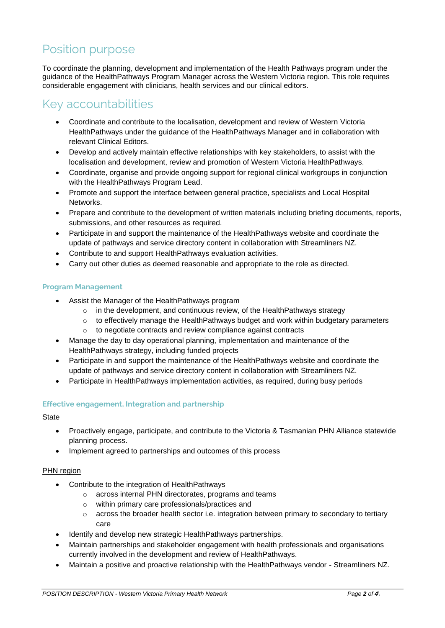### Position purpose

To coordinate the planning, development and implementation of the Health Pathways program under the guidance of the HealthPathways Program Manager across the Western Victoria region. This role requires considerable engagement with clinicians, health services and our clinical editors.

### Key accountabilities

- Coordinate and contribute to the localisation, development and review of Western Victoria HealthPathways under the guidance of the HealthPathways Manager and in collaboration with relevant Clinical Editors.
- Develop and actively maintain effective relationships with key stakeholders, to assist with the localisation and development, review and promotion of Western Victoria HealthPathways.
- Coordinate, organise and provide ongoing support for regional clinical workgroups in conjunction with the HealthPathways Program Lead.
- Promote and support the interface between general practice, specialists and Local Hospital Networks.
- Prepare and contribute to the development of written materials including briefing documents, reports, submissions, and other resources as required.
- Participate in and support the maintenance of the HealthPathways website and coordinate the update of pathways and service directory content in collaboration with Streamliners NZ.
- Contribute to and support HealthPathways evaluation activities.
- Carry out other duties as deemed reasonable and appropriate to the role as directed.

#### **Program Management**

- Assist the Manager of the HealthPathways program
	- o in the development, and continuous review, of the HealthPathways strategy
	- $\circ$  to effectively manage the HealthPathways budget and work within budgetary parameters
	- o to negotiate contracts and review compliance against contracts
- Manage the day to day operational planning, implementation and maintenance of the HealthPathways strategy, including funded projects
- Participate in and support the maintenance of the HealthPathways website and coordinate the update of pathways and service directory content in collaboration with Streamliners NZ.
- Participate in HealthPathways implementation activities, as required, during busy periods

#### **Effective engagement, Integration and partnership**

**State** 

- Proactively engage, participate, and contribute to the Victoria & Tasmanian PHN Alliance statewide planning process.
- Implement agreed to partnerships and outcomes of this process

#### **PHN** region

- Contribute to the integration of HealthPathways
	- o across internal PHN directorates, programs and teams
	- o within primary care professionals/practices and
	- $\circ$  across the broader health sector i.e. integration between primary to secondary to tertiary care
- Identify and develop new strategic HealthPathways partnerships.
- Maintain partnerships and stakeholder engagement with health professionals and organisations currently involved in the development and review of HealthPathways.
- Maintain a positive and proactive relationship with the HealthPathways vendor Streamliners NZ.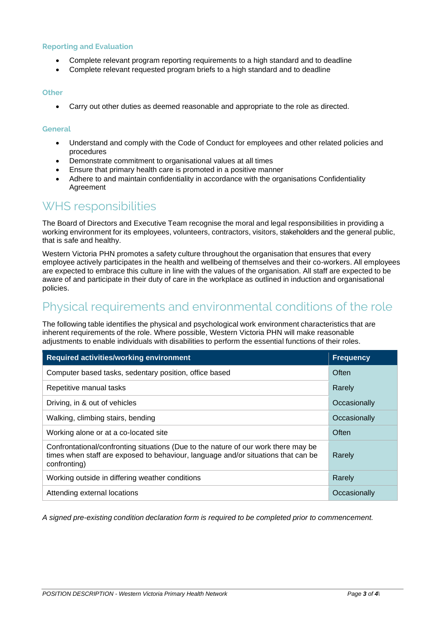#### **Reporting and Evaluation**

- Complete relevant program reporting requirements to a high standard and to deadline
- Complete relevant requested program briefs to a high standard and to deadline

#### **Other**

• Carry out other duties as deemed reasonable and appropriate to the role as directed.

#### **General**

- Understand and comply with the Code of Conduct for employees and other related policies and procedures
- Demonstrate commitment to organisational values at all times
- Ensure that primary health care is promoted in a positive manner
- Adhere to and maintain confidentiality in accordance with the organisations Confidentiality Agreement

### WHS responsibilities

The Board of Directors and Executive Team recognise the moral and legal responsibilities in providing a working environment for its employees, volunteers, contractors, visitors, stakeholders and the general public, that is safe and healthy.

Western Victoria PHN promotes a safety culture throughout the organisation that ensures that every employee actively participates in the health and wellbeing of themselves and their co-workers. All employees are expected to embrace this culture in line with the values of the organisation. All staff are expected to be aware of and participate in their duty of care in the workplace as outlined in induction and organisational policies.

### Physical requirements and environmental conditions of the role

The following table identifies the physical and psychological work environment characteristics that are inherent requirements of the role. Where possible, Western Victoria PHN will make reasonable adjustments to enable individuals with disabilities to perform the essential functions of their roles.

| <b>Required activities/working environment</b>                                                                                                                                          | <b>Frequency</b> |
|-----------------------------------------------------------------------------------------------------------------------------------------------------------------------------------------|------------------|
| Computer based tasks, sedentary position, office based                                                                                                                                  | Often            |
| Repetitive manual tasks                                                                                                                                                                 | Rarely           |
| Driving, in & out of vehicles                                                                                                                                                           | Occasionally     |
| Walking, climbing stairs, bending                                                                                                                                                       | Occasionally     |
| Working alone or at a co-located site                                                                                                                                                   | Often            |
| Confrontational/confronting situations (Due to the nature of our work there may be<br>times when staff are exposed to behaviour, language and/or situations that can be<br>confronting) | Rarely           |
| Working outside in differing weather conditions                                                                                                                                         | Rarely           |
| Attending external locations                                                                                                                                                            | Occasionally     |

*A signed pre-existing condition declaration form is required to be completed prior to commencement.*